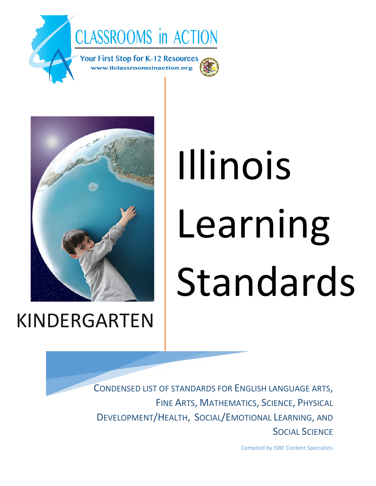

## KINDERGARTEN

# Illinois Learning Standards

CONDENSED LIST OF STANDARDS FOR ENGLISH LANGUAGE ARTS, FINE ARTS, MATHEMATICS, SCIENCE, PHYSICAL DEVELOPMENT/HEALTH, SOCIAL/EMOTIONAL LEARNING, AND SOCIAL SCIENCE

Compiled by ISBE Content Specialists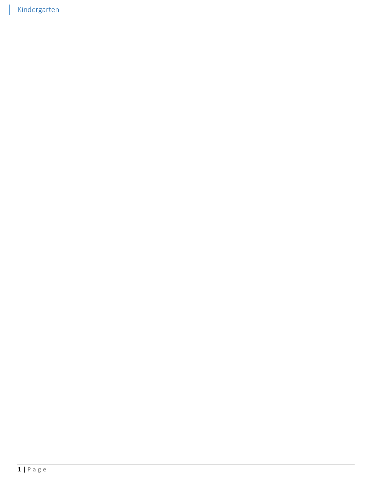Kindergarten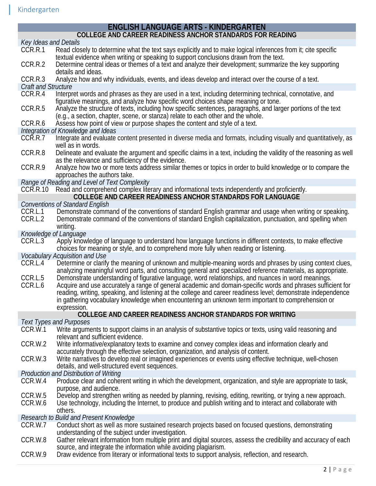#### **ENGLISH LANGUAGE ARTS - KINDERGARTEN**

|           | COLLEGE AND CAREER READINESS ANCHOR STANDARDS FOR READING |
|-----------|-----------------------------------------------------------|
| l Details |                                                           |

| Key Ideas and Details      |                                                                                                                                                                                      |
|----------------------------|--------------------------------------------------------------------------------------------------------------------------------------------------------------------------------------|
| CCR.R.1                    | Read closely to determine what the text says explicitly and to make logical inferences from it; cite specific                                                                        |
|                            | textual evidence when writing or speaking to support conclusions drawn from the text.                                                                                                |
| CCR.R.2                    | Determine central ideas or themes of a text and analyze their development; summarize the key supporting                                                                              |
|                            | details and ideas.                                                                                                                                                                   |
| CCR.R.3                    | Analyze how and why individuals, events, and ideas develop and interact over the course of a text.                                                                                   |
| <b>Craft and Structure</b> |                                                                                                                                                                                      |
| CCR.R.4                    | Interpret words and phrases as they are used in a text, including determining technical, connotative, and                                                                            |
|                            | figurative meanings, and analyze how specific word choices shape meaning or tone.                                                                                                    |
| CCR.R.5                    | Analyze the structure of texts, including how specific sentences, paragraphs, and larger portions of the text                                                                        |
|                            | (e.g., a section, chapter, scene, or stanza) relate to each other and the whole.                                                                                                     |
| CCR.R.6                    | Assess how point of view or purpose shapes the content and style of a text.                                                                                                          |
|                            | Integration of Knowledge and Ideas                                                                                                                                                   |
| CCR.R.7                    | Integrate and evaluate content presented in diverse media and formats, including visually and quantitatively, as                                                                     |
|                            | well as in words.                                                                                                                                                                    |
| CCR.R.8                    | Delineate and evaluate the argument and specific claims in a text, including the validity of the reasoning as well                                                                   |
|                            | as the relevance and sufficiency of the evidence.                                                                                                                                    |
| CCR.R.9                    | Analyze how two or more texts address similar themes or topics in order to build knowledge or to compare the                                                                         |
|                            | approaches the authors take.                                                                                                                                                         |
|                            | Range of Reading and Level of Text Complexity                                                                                                                                        |
|                            | CCR.R.10 Read and comprehend complex literary and informational texts independently and proficiently.                                                                                |
|                            | COLLEGE AND CAREER READINESS ANCHOR STANDARDS FOR LANGUAGE                                                                                                                           |
|                            | <b>Conventions of Standard English</b>                                                                                                                                               |
| CCR.L.1                    | Demonstrate command of the conventions of standard English grammar and usage when writing or speaking.                                                                               |
| CCR.L.2                    | Demonstrate command of the conventions of standard English capitalization, punctuation, and spelling when                                                                            |
|                            | writing.                                                                                                                                                                             |
| Knowledge of Language      |                                                                                                                                                                                      |
| CCR.L.3                    | Apply knowledge of language to understand how language functions in different contexts, to make effective                                                                            |
|                            | choices for meaning or style, and to comprehend more fully when reading or listening.                                                                                                |
|                            | Vocabulary Acquisition and Use                                                                                                                                                       |
| CCR.L.4                    | Determine or clarify the meaning of unknown and multiple-meaning words and phrases by using context clues,                                                                           |
|                            | analyzing meaningful word parts, and consulting general and specialized reference materials, as appropriate.                                                                         |
| CCR.L.5                    | Demonstrate understanding of figurative language, word relationships, and nuances in word meanings.                                                                                  |
| CCR.L.6                    | Acquire and use accurately a range of general academic and domain-specific words and phrases sufficient for                                                                          |
|                            | reading, writing, speaking, and listening at the college and career readiness level; demonstrate independence                                                                        |
|                            | in gathering vocabulary knowledge when encountering an unknown term important to comprehension or                                                                                    |
|                            | expression.                                                                                                                                                                          |
|                            | COLLEGE AND CAREER READINESS ANCHOR STANDARDS FOR WRITING                                                                                                                            |
|                            | <b>Text Types and Purposes</b>                                                                                                                                                       |
| CCR.W.1                    | Write arguments to support claims in an analysis of substantive topics or texts, using valid reasoning and                                                                           |
|                            | relevant and sufficient evidence.                                                                                                                                                    |
| CCR.W.2                    | Write informative/explanatory texts to examine and convey complex ideas and information clearly and                                                                                  |
|                            | accurately through the effective selection, organization, and analysis of content.                                                                                                   |
| CCR.W.3                    | Write narratives to develop real or imagined experiences or events using effective technique, well-chosen                                                                            |
|                            | details, and well-structured event sequences.                                                                                                                                        |
|                            | Production and Distribution of Writing                                                                                                                                               |
| CCR.W.4                    | Produce clear and coherent writing in which the development, organization, and style are appropriate to task,                                                                        |
|                            | purpose, and audience.                                                                                                                                                               |
| CCR.W.5                    | Develop and strengthen writing as needed by planning, revising, editing, rewriting, or trying a new approach.                                                                        |
| CCR.W.6                    | Use technology, including the Internet, to produce and publish writing and to interact and collaborate with                                                                          |
|                            | others.                                                                                                                                                                              |
|                            | Research to Build and Present Knowledge                                                                                                                                              |
| CCR.W.7                    | Conduct short as well as more sustained research projects based on focused questions, demonstrating                                                                                  |
| CCR.W.8                    | understanding of the subject under investigation.                                                                                                                                    |
|                            | Gather relevant information from multiple print and digital sources, assess the credibility and accuracy of each<br>source, and integrate the information while avoiding plagiarism. |
| CCR.W.9                    | Draw evidence from literary or informational texts to support analysis, reflection, and research.                                                                                    |
|                            |                                                                                                                                                                                      |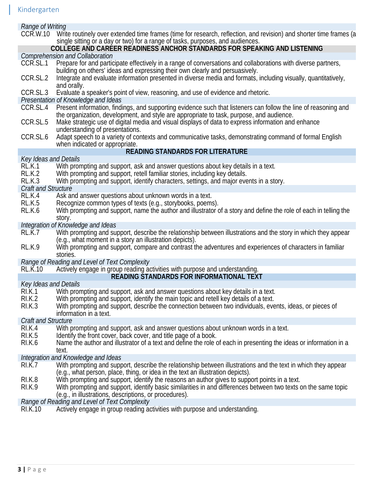| Range of Writing<br>CCR.W.10 | Write routinely over extended time frames (time for research, reflection, and revision) and shorter time frames (a                                                                                |
|------------------------------|---------------------------------------------------------------------------------------------------------------------------------------------------------------------------------------------------|
|                              | single sitting or a day or two) for a range of tasks, purposes, and audiences.                                                                                                                    |
|                              | COLLEGE AND CAREER READINESS ANCHOR STANDARDS FOR SPEAKING AND LISTENING                                                                                                                          |
|                              | <b>Comprehension and Collaboration</b>                                                                                                                                                            |
| CCR.SL.1                     | Prepare for and participate effectively in a range of conversations and collaborations with diverse partners,                                                                                     |
|                              | building on others' ideas and expressing their own clearly and persuasively.                                                                                                                      |
| CCR.SL.2                     | Integrate and evaluate information presented in diverse media and formats, including visually, quantitatively,                                                                                    |
|                              | and orally.                                                                                                                                                                                       |
| CCR.SL.3                     | Evaluate a speaker's point of view, reasoning, and use of evidence and rhetoric.                                                                                                                  |
|                              | Presentation of Knowledge and Ideas                                                                                                                                                               |
| CCR.SL.4                     | Present information, findings, and supporting evidence such that listeners can follow the line of reasoning and                                                                                   |
| CCR.SL.5                     | the organization, development, and style are appropriate to task, purpose, and audience.<br>Make strategic use of digital media and visual displays of data to express information and enhance    |
|                              | understanding of presentations.                                                                                                                                                                   |
| CCR.SL.6                     | Adapt speech to a variety of contexts and communicative tasks, demonstrating command of formal English                                                                                            |
|                              | when indicated or appropriate.                                                                                                                                                                    |
|                              | <b>READING STANDARDS FOR LITERATURE</b>                                                                                                                                                           |
| Key Ideas and Details        |                                                                                                                                                                                                   |
| RL.K.1                       | With prompting and support, ask and answer questions about key details in a text.                                                                                                                 |
| RLK.2                        | With prompting and support, retell familiar stories, including key details.                                                                                                                       |
| RLK.3                        | With prompting and support, identify characters, settings, and major events in a story.                                                                                                           |
| <b>Craft and Structure</b>   |                                                                                                                                                                                                   |
| RL.K.4                       | Ask and answer questions about unknown words in a text.                                                                                                                                           |
| RLK.5                        | Recognize common types of texts (e.g., storybooks, poems).                                                                                                                                        |
| RL.K.6                       | With prompting and support, name the author and illustrator of a story and define the role of each in telling the                                                                                 |
|                              | story.<br>Integration of Knowledge and Ideas                                                                                                                                                      |
| <b>RL.K.7</b>                | With prompting and support, describe the relationship between illustrations and the story in which they appear                                                                                    |
|                              | (e.g., what moment in a story an illustration depicts).                                                                                                                                           |
| RL.K.9                       | With prompting and support, compare and contrast the adventures and experiences of characters in familiar                                                                                         |
|                              | stories.                                                                                                                                                                                          |
|                              | Range of Reading and Level of Text Complexity                                                                                                                                                     |
| <b>RL.K.10</b>               | Actively engage in group reading activities with purpose and understanding.                                                                                                                       |
|                              | <b>READING STANDARDS FOR INFORMATIONAL TEXT</b>                                                                                                                                                   |
| <b>Key Ideas and Details</b> |                                                                                                                                                                                                   |
| RI.K.1                       | With prompting and support, ask and answer questions about key details in a text.                                                                                                                 |
| RI.K.2<br>RI.K.3             | With prompting and support, identify the main topic and retell key details of a text.<br>With prompting and support, describe the connection between two individuals, events, ideas, or pieces of |
|                              | information in a text.                                                                                                                                                                            |
| <b>Craft and Structure</b>   |                                                                                                                                                                                                   |
| RI.K.4                       | With prompting and support, ask and answer questions about unknown words in a text.                                                                                                               |
| RI.K.5                       | Identify the front cover, back cover, and title page of a book.                                                                                                                                   |
| <b>RI.K.6</b>                | Name the author and illustrator of a text and define the role of each in presenting the ideas or information in a                                                                                 |
|                              | text.                                                                                                                                                                                             |
|                              | Integration and Knowledge and Ideas                                                                                                                                                               |
| RI.K.7                       | With prompting and support, describe the relationship between illustrations and the text in which they appear                                                                                     |
|                              | (e.g., what person, place, thing, or idea in the text an illustration depicts).                                                                                                                   |
| <b>RI.K.8</b>                | With prompting and support, identify the reasons an author gives to support points in a text.                                                                                                     |
| <b>RI.K.9</b>                | With prompting and support, identify basic similarities in and differences between two texts on the same topic                                                                                    |
|                              | (e.g., in illustrations, descriptions, or procedures).                                                                                                                                            |
| RI.K.10                      | Range of Reading and Level of Text Complexity<br>Actively engage in group reading activities with purpose and understanding.                                                                      |
|                              |                                                                                                                                                                                                   |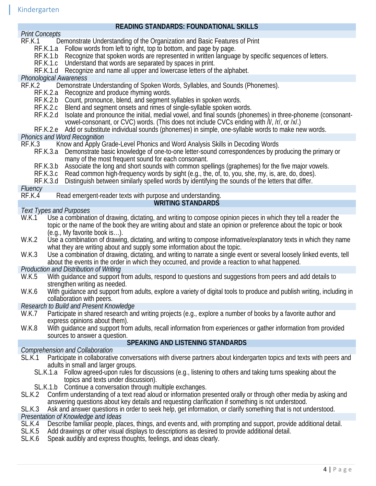#### **READING STANDARDS: FOUNDATIONAL SKILLS**

## *Print Concepts*

RF.K.1 Demonstrate Understanding of the Organization and Basic Features of Print

- RF.K.1.a Follow words from left to right, top to bottom, and page by page.<br>RF.K.1.b Recognize that spoken words are represented in written languag
	- Recognize that spoken words are represented in written language by specific sequences of letters.
- RF.K.1.c Understand that words are separated by spaces in print.
- RF.K.1.d Recognize and name all upper and lowercase letters of the alphabet.

## *Phonological Awareness*

S.2 Demonstrate Understanding of Spoken Words, Syllables, and Sounds (Phonemes).<br>RF.K.2.a Recognize and produce rhyming words.

- RF.K.2.a Recognize and produce rhyming words.<br>RF.K.2.b Count. pronounce. blend. and segments
- RF.K.2.b Count, pronounce, blend, and segment syllables in spoken words.<br>RF.K.2.c Blend and segment onsets and rimes of single-syllable spoken wo
- RF.K.2.c Blend and segment onsets and rimes of single-syllable spoken words.<br>RF.K.2.d Isolate and pronounce the initial, medial vowel, and final sounds (phon
- RF.K.2.d Isolate and pronounce the initial, medial vowel, and final sounds (phonemes) in three-phoneme (consonant-<br>vowel-consonant, or CVC) words. (This does not include CVCs ending with /l/, /r/, or /x/.)<br>RF.K.2.e Add or

#### Add or substitute individual sounds (phonemes) in simple, one-syllable words to make new words.

## *Phonics and Word Recognition*

- Know and Apply Grade-Level Phonics and Word Analysis Skills in Decoding Words
	- RF.K.3.a Demonstrate basic knowledge of one-to-one letter-sound correspondences by producing the primary or many of the most frequent sound for each consonant.
		- RF.K.3.b Associate the long and short sounds with common spellings (graphemes) for the five major vowels.
		- RF.K.3.c Read common high-frequency words by sight (e.g., the, of, to, you, she, my, is, are, do, does).<br>RF.K.3.d Distinguish between similarly spelled words by identifying the sounds of the letters that differ.
	- Distinguish between similarly spelled words by identifying the sounds of the letters that differ.

## *Fluency*

Read emergent-reader texts with purpose and understanding.

#### **WRITING STANDARDS**

## *Text Types and Purposes*

- Use a combination of drawing, dictating, and writing to compose opinion pieces in which they tell a reader the topic or the name of the book they are writing about and state an opinion or preference about the topic or book (e.g., My favorite book is…).
- W.K.2 Use a combination of drawing, dictating, and writing to compose informative/explanatory texts in which they name what they are writing about and supply some information about the topic.
- W.K.3 Use a combination of drawing, dictating, and writing to narrate a single event or several loosely linked events, tell about the events in the order in which they occurred, and provide a reaction to what happened.

## *Production and Distribution of Writing*

- With guidance and support from adults, respond to questions and suggestions from peers and add details to strengthen writing as needed.
- W.K.6 With guidance and support from adults, explore a variety of digital tools to produce and publish writing, including in collaboration with peers.

## *Research to Build and Present Knowledge*

- Participate in shared research and writing projects (e.g., explore a number of books by a favorite author and express opinions about them).
- W.K.8 With guidance and support from adults, recall information from experiences or gather information from provided sources to answer a question.

#### **SPEAKING AND LISTENING STANDARDS**

## *Comprehension and Collaboration*

- Participate in collaborative conversations with diverse partners about kindergarten topics and texts with peers and adults in small and larger groups.
	- SL.K.1.a Follow agreed-upon rules for discussions (e.g., listening to others and taking turns speaking about the topics and texts under discussion).
		-
- SL.K.1.b Continue a conversation through multiple exchanges.<br>SL.K.2 Confirm understanding of a text read aloud or information pr Confirm understanding of a text read aloud or information presented orally or through other media by asking and answering questions about key details and requesting clarification if something is not understood.

SL.K.3 Ask and answer questions in order to seek help, get information, or clarify something that is not understood.

## *Presentation of Knowledge and Ideas*

- SL.K.4 Describe familiar people, places, things, and events and, with prompting and support, provide additional detail.<br>SL.K.5 Add drawings or other visual displays to descriptions as desired to provide additional detail.
- SL.K.5 Add drawings or other visual displays to descriptions as desired to provide additional detail.<br>SL.K.6 Speak audibly and express thoughts, feelings, and ideas clearly.
- Speak audibly and express thoughts, feelings, and ideas clearly.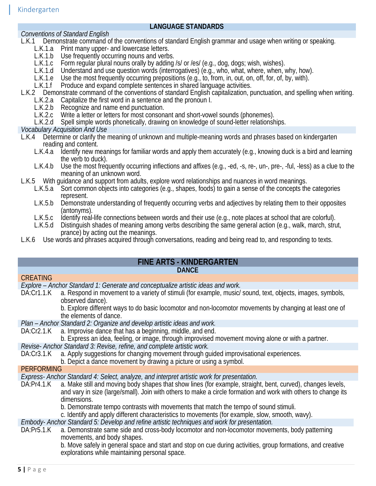#### **LANGUAGE STANDARDS**

## *Conventions of Standard English*

- 1 Demonstrate command of the conventions of standard English grammar and usage when writing or speaking.<br>L.K.1.a Print many upper- and lowercase letters.
	- L.K.1.a Print many upper- and lowercase letters.
	- Use frequently occurring nouns and verbs.
	- L.K.1.c Form regular plural nouns orally by adding /s/ or /es/ (e.g., dog, dogs; wish, wishes).
	- L.K.1.d Understand and use question words (interrogatives) (e.g., who, what, where, when, why, how).<br>L.K.1.e Use the most frequently occurring prepositions (e.g., to, from, in, out, on, off, for, of, by, with).
	- L.K.1.e Use the most frequently occurring prepositions (e.g., to, from, in, out, on, off, for, of, by, with).<br>L.K.1.f Produce and expand complete sentences in shared language activities.
	- Produce and expand complete sentences in shared language activities.

L.K.2 Demonstrate command of the conventions of standard English capitalization, punctuation, and spelling when writing.

- L.K.2.a Capitalize the first word in a sentence and the pronoun I.<br>L.K.2.b Recognize and name end punctuation.
- L.K.2.b Recognize and name end punctuation.<br>L.K.2.c Write a letter or letters for most conson.
- L.K.2.c Write a letter or letters for most consonant and short-vowel sounds (phonemes).
- Spell simple words phonetically, drawing on knowledge of sound-letter relationships.

## *Vocabulary Acquisition And Use*

- Determine or clarify the meaning of unknown and multiple-meaning words and phrases based on kindergarten reading and content.<br>L.K.4.a ldentify new m
	- Identify new meanings for familiar words and apply them accurately (e.g., knowing duck is a bird and learning the verb to duck).
	- L.K.4.b Use the most frequently occurring inflections and affixes (e.g., -ed, -s, re-, un-, pre-, -ful, -less) as a clue to the meaning of an unknown word.
- L.K.5 With guidance and support from adults, explore word relationships and nuances in word meanings.
	- Sort common objects into categories (e.g., shapes, foods) to gain a sense of the concepts the categories represent.
	- L.K.5.b Demonstrate understanding of frequently occurring verbs and adjectives by relating them to their opposites (antonyms).
	- L.K.5.c Identify real-life connections between words and their use (e.g., note places at school that are colorful).
	- L.K.5.d Distinguish shades of meaning among verbs describing the same general action (e.g., walk, march, strut, prance) by acting out the meanings.
- L.K.6 Use words and phrases acquired through conversations, reading and being read to, and responding to texts.

#### **FINE ARTS - KINDERGARTEN DANCE**

#### **CREATING**

- *Explore – Anchor Standard 1: Generate and conceptualize artistic ideas and work.*
	- a. Respond in movement to a variety of stimuli (for example, music/ sound, text, objects, images, symbols, observed dance).

b. Explore different ways to do basic locomotor and non-locomotor movements by changing at least one of the elements of dance.

*Plan – Anchor Standard 2: Organize and develop artistic ideas and work.*

- a. Improvise dance that has a beginning, middle, and end.
	- b. Express an idea, feeling, or image, through improvised movement moving alone or with a partner.
- *Revise- Anchor Standard 3: Revise, refine, and complete artistic work.*
	- a. Apply suggestions for changing movement through guided improvisational experiences.
	- b. Depict a dance movement by drawing a picture or using a symbol.

#### PERFORMING

*Express- Anchor Standard 4: Select, analyze, and interpret artistic work for presentation.*

- a. Make still and moving body shapes that show lines (for example, straight, bent, curved), changes levels, and vary in size (large/small). Join with others to make a circle formation and work with others to change its dimensions.
	- b. Demonstrate tempo contrasts with movements that match the tempo of sound stimuli.
	- c. Identify and apply different characteristics to movements (for example, slow, smooth, wavy).

## *Embody- Anchor Standard 5: Develop and refine artistic techniques and work for presentation.*

- a. Demonstrate same side and cross-body locomotor and non-locomotor movements, body patterning movements, and body shapes.
	- b. Move safely in general space and start and stop on cue during activities, group formations, and creative explorations while maintaining personal space.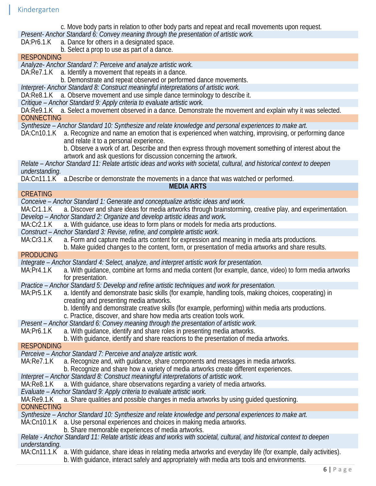c. Move body parts in relation to other body parts and repeat and recall movements upon request. *Present- Anchor Standard 6: Convey meaning through the presentation of artistic work.*

a. Dance for others in a designated space.

b. Select a prop to use as part of a dance.

RESPONDING

*Analyze- Anchor Standard 7: Perceive and analyze artistic work.*

a. Identify a movement that repeats in a dance.

b. Demonstrate and repeat observed or performed dance movements.

*Interpret- Anchor Standard 8: Construct meaningful interpretations of artistic work.*

a. Observe movement and use simple dance terminology to describe it.

*Critique – Anchor Standard 9: Apply criteria to evaluate artistic work.*

DA:Re9.1.K a. Select a movement observed in a dance. Demonstrate the movement and explain why it was selected. **CONNECTING** 

*Synthesize – Anchor Standard 10: Synthesize and relate knowledge and personal experiences to make art.*

DA:Cn10.1.K a. Recognize and name an emotion that is experienced when watching, improvising, or performing dance and relate it to a personal experience.

b. Observe a work of art. Describe and then express through movement something of interest about the artwork and ask questions for discussion concerning the artwork.

*Relate – Anchor Standard 11: Relate artistic ideas and works with societal, cultural, and historical context to deepen understanding.* 

DA:Cn11.1.K a.Describe or demonstrate the movements in a dance that was watched or performed.

#### **MEDIA ARTS**

#### CREATING

*Conceive – Anchor Standard 1: Generate and conceptualize artistic ideas and work.*

a. Discover and share ideas for media artworks through brainstorming, creative play, and experimentation.

*Develop – Anchor Standard 2: Organize and develop artistic ideas and work.*  a. With guidance, use ideas to form plans or models for media arts productions.

*Construct – Anchor Standard 3: Revise, refine, and complete artistic work.* 

a. Form and capture media arts content for expression and meaning in media arts productions.

b. Make guided changes to the content, form, or presentation of media artworks and share results.

#### **PRODUCING**

*Integrate – Anchor Standard 4: Select, analyze, and interpret artistic work for presentation.*

a. With guidance, combine art forms and media content (for example, dance, video) to form media artworks for presentation.

*Practice – Anchor Standard 5: Develop and refine artistic techniques and work for presentation.* 

- MA:Pr5.1.K a. Identify and demonstrate basic skills (for example, handling tools, making choices, cooperating) in creating and presenting media artworks.
	- b. Identify and demonstrate creative skills (for example, performing) within media arts productions.
	- c. Practice, discover, and share how media arts creation tools work.

## *Present – Anchor Standard 6: Convey meaning through the presentation of artistic work.*

a. With guidance, identify and share roles in presenting media artworks.

b. With guidance, identify and share reactions to the presentation of media artworks.

#### RESPONDING

*Perceive – Anchor Standard 7: Perceive and analyze artistic work.* 

MA:Re7.1.K a. Recognize and, with guidance, share components and messages in media artworks.

b. Recognize and share how a variety of media artworks create different experiences.

*Interpret – Anchor Standard 8: Construct meaningful interpretations of artistic work.* 

a. With guidance, share observations regarding a variety of media artworks.

*Evaluate – Anchor Standard 9: Apply criteria to evaluate artistic work.* 

a. Share qualities and possible changes in media artworks by using quided questioning.

#### CONNECTING

*Synthesize – Anchor Standard 10: Synthesize and relate knowledge and personal experiences to make art.* 

MA:Cn10.1.K a. Use personal experiences and choices in making media artworks.

b. Share memorable experiences of media artworks.

*Relate - Anchor Standard 11: Relate artistic ideas and works with societal, cultural, and historical context to deepen understanding.* 

MA:Cn11.1.K a. With guidance, share ideas in relating media artworks and everyday life (for example, daily activities). b. With guidance, interact safely and appropriately with media arts tools and environments.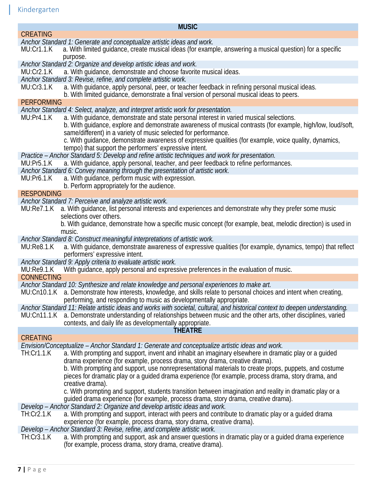#### **MUSIC**

#### CREATING

*Anchor Standard 1: Generate and conceptualize artistic ideas and work.*

a. With limited guidance, create musical ideas (for example, answering a musical question) for a specific purpose.

*Anchor Standard 2: Organize and develop artistic ideas and work.* 

- MU:Cr2.1.K a. With guidance, demonstrate and choose favorite musical ideas.
- *Anchor Standard 3: Revise, refine, and complete artistic work.*
- MU:Cr3.1.K a. With quidance, apply personal, peer, or teacher feedback in refining personal musical ideas.
	- b. With limited guidance, demonstrate a final version of personal musical ideas to peers.

#### PERFORMING

#### *Anchor Standard 4: Select, analyze, and interpret artistic work for presentation.*

MU:Pr4.1.K a. With guidance, demonstrate and state personal interest in varied musical selections.

b. With guidance, explore and demonstrate awareness of musical contrasts (for example, high/low, loud/soft, same/different) in a variety of music selected for performance.

- c. With guidance, demonstrate awareness of expressive qualities (for example, voice quality, dynamics,
	- tempo) that support the performers' expressive intent.

#### *Practice – Anchor Standard 5: Develop and refine artistic techniques and work for presentation.*

- MU:Pr5.1.K a. With guidance, apply personal, teacher, and peer feedback to refine performances.
- *Anchor Standard 6: Convey meaning through the presentation of artistic work.*
- MU:Pr6.1.K a. With guidance, perform music with expression.
	- b. Perform appropriately for the audience.

#### RESPONDING

- *Anchor Standard 7: Perceive and analyze artistic work.*
- a. With guidance, list personal interests and experiences and demonstrate why they prefer some music selections over others.

b. With guidance, demonstrate how a specific music concept (for example, beat, melodic direction) is used in music.

## *Anchor Standard 8: Construct meaningful interpretations of artistic work.*

a. With guidance, demonstrate awareness of expressive qualities (for example, dynamics, tempo) that reflect performers' expressive intent.

*Anchor Standard 9: Apply criteria to evaluate artistic work.* 

With guidance, apply personal and expressive preferences in the evaluation of music.

#### CONNECTING

#### *Anchor Standard 10: Synthesize and relate knowledge and personal experiences to make art.*

MU:Cn10.1.K a. Demonstrate how interests, knowledge, and skills relate to personal choices and intent when creating, performing, and responding to music as developmentally appropriate.

*Anchor Standard 11: Relate artistic ideas and works with societal, cultural, and historical context to deepen understanding.*

MU:Cn11.1.K a. Demonstrate understanding of relationships between music and the other arts, other disciplines, varied contexts, and daily life as developmentally appropriate.

#### **THEATRE**

#### **CREATING**

*Envision/Conceptualize – Anchor Standard 1: Generate and conceptualize artistic ideas and work.* 

TH:Cr1.1.K a. With prompting and support, invent and inhabit an imaginary elsewhere in dramatic play or a guided drama experience (for example, process drama, story drama, creative drama).

b. With prompting and support, use nonrepresentational materials to create props, puppets, and costume pieces for dramatic play or a guided drama experience (for example, process drama, story drama, and creative drama).

c. With prompting and support, students transition between imagination and reality in dramatic play or a guided drama experience (for example, process drama, story drama, creative drama).

## *Develop – Anchor Standard 2: Organize and develop artistic ideas and work.*

a. With prompting and support, interact with peers and contribute to dramatic play or a guided drama experience (for example, process drama, story drama, creative drama).

## *Develop – Anchor Standard 3: Revise, refine, and complete artistic work.*

a. With prompting and support, ask and answer questions in dramatic play or a quided drama experience (for example, process drama, story drama, creative drama).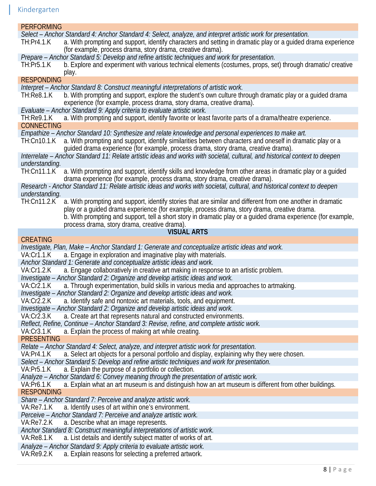| <b>PERFORMING</b>                                                                                                                                                                                            |  |  |
|--------------------------------------------------------------------------------------------------------------------------------------------------------------------------------------------------------------|--|--|
| Select – Anchor Standard 4: Anchor Standard 4: Select, analyze, and interpret artistic work for presentation.                                                                                                |  |  |
| a. With prompting and support, identify characters and setting in dramatic play or a quided drama experience<br>TH:Pr4.1.K<br>(for example, process drama, story drama, creative drama).                     |  |  |
| Prepare – Anchor Standard 5: Develop and refine artistic techniques and work for presentation.                                                                                                               |  |  |
| b. Explore and experiment with various technical elements (costumes, props, set) through dramatic/ creative<br>TH: Pr5.1.K                                                                                   |  |  |
| play.                                                                                                                                                                                                        |  |  |
| <b>RESPONDING</b>                                                                                                                                                                                            |  |  |
| Interpret - Anchor Standard 8: Construct meaningful interpretations of artistic work.                                                                                                                        |  |  |
| b. With prompting and support, explore the student's own culture through dramatic play or a guided drama<br>$TH:$ Re $8.1.K$<br>experience (for example, process drama, story drama, creative drama).        |  |  |
| Evaluate – Anchor Standard 9: Apply criteria to evaluate artistic work.                                                                                                                                      |  |  |
| a. With prompting and support, identify favorite or least favorite parts of a drama/theatre experience.<br>TH:Re9.1.K<br><b>CONNECTING</b>                                                                   |  |  |
| Empathize - Anchor Standard 10: Synthesize and relate knowledge and personal experiences to make art.                                                                                                        |  |  |
| a. With prompting and support, identify similarities between characters and oneself in dramatic play or a<br>TH:Cn10.1.K                                                                                     |  |  |
| guided drama experience (for example, process drama, story drama, creative drama).                                                                                                                           |  |  |
| Interrelate – Anchor Standard 11: Relate artistic ideas and works with societal, cultural, and historical context to deepen<br>understanding.                                                                |  |  |
| a. With prompting and support, identify skills and knowledge from other areas in dramatic play or a quided<br>TH:Cn11.1.K<br>drama experience (for example, process drama, story drama, creative drama).     |  |  |
| Research - Anchor Standard 11: Relate artistic ideas and works with societal, cultural, and historical context to deepen<br>understanding.                                                                   |  |  |
| TH:Cn11.2.K<br>a. With prompting and support, identify stories that are similar and different from one another in dramatic                                                                                   |  |  |
| play or a guided drama experience (for example, process drama, story drama, creative drama.<br>b. With prompting and support, tell a short story in dramatic play or a guided drama experience (for example, |  |  |
| process drama, story drama, creative drama).                                                                                                                                                                 |  |  |
| <b>VISUAL ARTS</b>                                                                                                                                                                                           |  |  |
| <b>CREATING</b>                                                                                                                                                                                              |  |  |
| Investigate, Plan, Make - Anchor Standard 1: Generate and conceptualize artistic ideas and work.                                                                                                             |  |  |
| a. Engage in exploration and imaginative play with materials.<br>VA:Cr1.1.K                                                                                                                                  |  |  |
| Anchor Standard 1: Generate and conceptualize artistic ideas and work.                                                                                                                                       |  |  |
| a. Engage collaboratively in creative art making in response to an artistic problem.<br>VA:Cr1.2.K                                                                                                           |  |  |
| Investigate - Anchor Standard 2: Organize and develop artistic ideas and work.                                                                                                                               |  |  |
| a. Through experimentation, build skills in various media and approaches to artmaking.<br>VA:Cr2.1.K                                                                                                         |  |  |
| Investigate – Anchor Standard 2: Organize and develop artistic ideas and work.                                                                                                                               |  |  |
| VA:Cr2.2.K<br>a. Identify safe and nontoxic art materials, tools, and equipment.                                                                                                                             |  |  |
| Investigate – Anchor Standard 2: Organize and develop artistic ideas and work.                                                                                                                               |  |  |
| VA:Cr2.3.K<br>a. Create art that represents natural and constructed environments.                                                                                                                            |  |  |
| Reflect, Refine, Continue – Anchor Standard 3: Revise, refine, and complete artistic work.                                                                                                                   |  |  |
| VA:Cr3.1.K<br>a. Explain the process of making art while creating.                                                                                                                                           |  |  |
| <b>PRESENTING</b>                                                                                                                                                                                            |  |  |
| Relate – Anchor Standard 4: Select, analyze, and interpret artistic work for presentation.                                                                                                                   |  |  |
| a. Select art objects for a personal portfolio and display, explaining why they were chosen.<br>VA:Pr4.1.K                                                                                                   |  |  |
| Select – Anchor Standard 5: Develop and refine artistic techniques and work for presentation.                                                                                                                |  |  |
| <b>VA:Pr5.1.K</b><br>a. Explain the purpose of a portfolio or collection.                                                                                                                                    |  |  |
| Analyze – Anchor Standard 6: Convey meaning through the presentation of artistic work.                                                                                                                       |  |  |
| a. Explain what an art museum is and distinguish how an art museum is different from other buildings.<br><b>VA:Pr6.1.K</b>                                                                                   |  |  |
| <b>RESPONDING</b>                                                                                                                                                                                            |  |  |
|                                                                                                                                                                                                              |  |  |
| Share - Anchor Standard 7: Perceive and analyze artistic work.<br><b>VA:Re7.1.K</b>                                                                                                                          |  |  |
| a. Identify uses of art within one's environment.                                                                                                                                                            |  |  |
| Perceive – Anchor Standard 7: Perceive and analyze artistic work.<br>VA:Re7.2.K<br>a. Describe what an image represents.                                                                                     |  |  |
|                                                                                                                                                                                                              |  |  |
|                                                                                                                                                                                                              |  |  |
| Anchor Standard 8: Construct meaningful interpretations of artistic work.                                                                                                                                    |  |  |
| <b>VA:Re8.1.K</b><br>a. List details and identify subject matter of works of art.                                                                                                                            |  |  |
| Analyze – Anchor Standard 9: Apply criteria to evaluate artistic work.<br>VA:Re9.2.K<br>a. Explain reasons for selecting a preferred artwork.                                                                |  |  |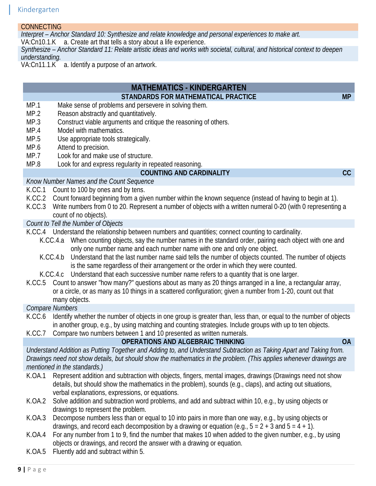#### Kindergarten

#### CONNECTING

*Interpret – Anchor Standard 10: Synthesize and relate knowledge and personal experiences to make art.*  VA:Cn10.1.K a. Create art that tells a story about a life experience.

*Synthesize – Anchor Standard 11: Relate artistic ideas and works with societal, cultural, and historical context to deepen understanding.* 

 $VA:$ Cn11.1.K  $\overline{a}$  a. Identify a purpose of an artwork.

#### **MATHEMATICS - KINDERGARTEN**

#### **STANDARDS FOR MATHEMATICAL PRACTICE MP MP**

- MP.1 Make sense of problems and persevere in solving them.
- MP.2 Reason abstractly and quantitatively.
- MP.3 Construct viable arguments and critique the reasoning of others.
- MP.4 Model with mathematics.
- MP.5 Use appropriate tools strategically.
- MP.6 Attend to precision.
- MP.7 Look for and make use of structure.
- MP.8 Look for and express regularity in repeated reasoning.

#### **COUNTING AND CARDINALITY CC**

*Know Number Names and the Count Sequence*

- K.CC.1 Count to 100 by ones and by tens.
- K.CC.2 Count forward beginning from a given number within the known sequence (instead of having to begin at 1).
- K.CC.3 Write numbers from 0 to 20. Represent a number of objects with a written numeral 0-20 (with 0 representing a count of no objects).

#### *Count to Tell the Number of Objects*

K.CC.4 Understand the relationship between numbers and quantities; connect counting to cardinality.

- K.CC.4.a When counting objects, say the number names in the standard order, pairing each object with one and only one number name and each number name with one and only one object.
- K.CC.4.b Understand that the last number name said tells the number of objects counted. The number of objects is the same regardless of their arrangement or the order in which they were counted.
- K.CC.4.c Understand that each successive number name refers to a quantity that is one larger.
- K.CC.5 Count to answer "how many?" questions about as many as 20 things arranged in a line, a rectangular array, or a circle, or as many as 10 things in a scattered configuration; given a number from 1-20, count out that many objects.

#### *Compare Numbers*

- K.CC.6 Identify whether the number of objects in one group is greater than, less than, or equal to the number of objects in another group, e.g., by using matching and counting strategies. Include groups with up to ten objects.
- K.CC.7 Compare two numbers between 1 and 10 presented as written numerals.

#### **OPERATIONS AND ALGEBRAIC THINKING OA**

*Understand Addition as Putting Together and Adding to, and Understand Subtraction as Taking Apart and Taking from. Drawings need not show details, but should show the mathematics in the problem. (This applies whenever drawings are mentioned in the standards.)*

- K.OA.1 Represent addition and subtraction with objects, fingers, mental images, drawings (Drawings need not show details, but should show the mathematics in the problem), sounds (e.g., claps), and acting out situations, verbal explanations, expressions, or equations.
- K.OA.2 Solve addition and subtraction word problems, and add and subtract within 10, e.g., by using objects or drawings to represent the problem.
- K.OA.3 Decompose numbers less than or equal to 10 into pairs in more than one way, e.g., by using objects or drawings, and record each decomposition by a drawing or equation (e.g.,  $5 = 2 + 3$  and  $5 = 4 + 1$ ).
- K.OA.4 For any number from 1 to 9, find the number that makes 10 when added to the given number, e.g., by using objects or drawings, and record the answer with a drawing or equation.
- K.OA.5 Fluently add and subtract within 5.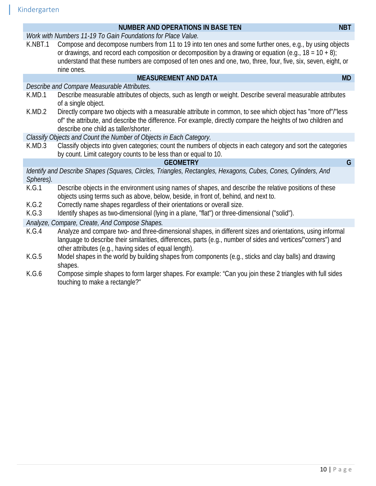|                                                                                                                            | <b>NBT</b><br><b>NUMBER AND OPERATIONS IN BASE TEN</b>                                                                                                                                                                                                                                                                                               |  |
|----------------------------------------------------------------------------------------------------------------------------|------------------------------------------------------------------------------------------------------------------------------------------------------------------------------------------------------------------------------------------------------------------------------------------------------------------------------------------------------|--|
|                                                                                                                            | Work with Numbers 11-19 To Gain Foundations for Place Value.                                                                                                                                                                                                                                                                                         |  |
| K.NBT.1                                                                                                                    | Compose and decompose numbers from 11 to 19 into ten ones and some further ones, e.g., by using objects<br>or drawings, and record each composition or decomposition by a drawing or equation (e.g., $18 = 10 + 8$ );<br>understand that these numbers are composed of ten ones and one, two, three, four, five, six, seven, eight, or<br>nine ones. |  |
|                                                                                                                            | <b>MEASUREMENT AND DATA</b><br><b>MD</b>                                                                                                                                                                                                                                                                                                             |  |
|                                                                                                                            | Describe and Compare Measurable Attributes.                                                                                                                                                                                                                                                                                                          |  |
| K.MD.1                                                                                                                     | Describe measurable attributes of objects, such as length or weight. Describe several measurable attributes<br>of a single object.                                                                                                                                                                                                                   |  |
| K.MD.2                                                                                                                     | Directly compare two objects with a measurable attribute in common, to see which object has "more of"/"less<br>of" the attribute, and describe the difference. For example, directly compare the heights of two children and<br>describe one child as taller/shorter.                                                                                |  |
|                                                                                                                            | Classify Objects and Count the Number of Objects in Each Category.                                                                                                                                                                                                                                                                                   |  |
| K.MD.3                                                                                                                     | Classify objects into given categories; count the numbers of objects in each category and sort the categories<br>by count. Limit category counts to be less than or equal to 10.                                                                                                                                                                     |  |
|                                                                                                                            | G<br><b>GEOMETRY</b>                                                                                                                                                                                                                                                                                                                                 |  |
| Identify and Describe Shapes (Squares, Circles, Triangles, Rectangles, Hexagons, Cubes, Cones, Cylinders, And<br>Spheres). |                                                                                                                                                                                                                                                                                                                                                      |  |
| K.G.1                                                                                                                      | Describe objects in the environment using names of shapes, and describe the relative positions of these<br>objects using terms such as above, below, beside, in front of, behind, and next to.                                                                                                                                                       |  |
| K.G.2<br>K.G.3                                                                                                             | Correctly name shapes regardless of their orientations or overall size.<br>Identify shapes as two-dimensional (lying in a plane, "flat") or three-dimensional ("solid").                                                                                                                                                                             |  |
| Analyze, Compare, Create, And Compose Shapes.                                                                              |                                                                                                                                                                                                                                                                                                                                                      |  |
| K.G.4                                                                                                                      | Analyze and compare two- and three-dimensional shapes, in different sizes and orientations, using informal<br>language to describe their similarities, differences, parts (e.g., number of sides and vertices/"corners") and<br>other attributes (e.g., having sides of equal length).                                                               |  |
| K.G.5                                                                                                                      | Model shapes in the world by building shapes from components (e.g., sticks and clay balls) and drawing<br>shapes.                                                                                                                                                                                                                                    |  |
| K.G.6                                                                                                                      | Compose simple shapes to form larger shapes. For example: "Can you join these 2 triangles with full sides<br>touching to make a rectangle?"                                                                                                                                                                                                          |  |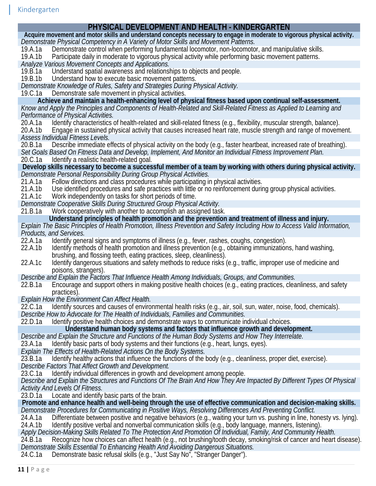#### **PHYSICAL DEVELOPMENT AND HEALTH - KINDERGARTEN**

**Acquire movement and motor skills and understand concepts necessary to engage in moderate to vigorous physical activity.** *Demonstrate Physical Competency in A Variety of Motor Skills and Movement Patterns.*

19.A.1a Demonstrate control when performing fundamental locomotor, non-locomotor, and manipulative skills.

19.A.1b Participate daily in moderate to vigorous physical activity while performing basic movement patterns.

*Analyze Various Movement Concepts and Applications.*

19.B.1a Understand spatial awareness and relationships to objects and people.

Understand how to execute basic movement patterns.

*Demonstrate Knowledge of Rules, Safety and Strategies During Physical Activity.*

Demonstrate safe movement in physical activities.

**Achieve and maintain a health-enhancing level of physical fitness based upon continual self-assessment.** *Know and Apply the Principles and Components of Health-Related and Skill-Related Fitness as Applied to Learning and*

*Performance of Physical Activities.* 20.A.1a Identify characteristics of health-related and skill-related fitness (e.g., flexibility, muscular strength, balance).<br>20.A.1b Engage in sustained physical activity that causes increased heart rate, muscle strength

Engage in sustained physical activity that causes increased heart rate, muscle strength and range of movement.

*Assess Individual Fitness Levels.* Describe immediate effects of physical activity on the body (e.g., faster heartbeat, increased rate of breathing). *Set Goals Based On Fitness Data and Develop, Implement, And Monitor an Individual Fitness Improvement Plan.*

Identify a realistic health-related goal.

**Develop skills necessary to become a successful member of a team by working with others during physical activity.** *Demonstrate Personal Responsibility During Group Physical Activities.*

21.A.1a Follow directions and class procedures while participating in physical activities.

21.A.1b Use identified procedures and safe practices with little or no reinforcement during group physical activities.<br>21.A.1c Work independently on tasks for short periods of time.

Work independently on tasks for short periods of time.

*Demonstrate Cooperative Skills During Structured Group Physical Activity.*

Work cooperatively with another to accomplish an assigned task.

**Understand principles of health promotion and the prevention and treatment of illness and injury.**

*Explain The Basic Principles of Health Promotion, Illness Prevention and Safety Including How to Access Valid Information, Products, and Services.*

22.A.1a Identify general signs and symptoms of illness (e.g., fever, rashes, coughs, congestion).<br>22.A.1b Identify methods of health promotion and illness prevention (e.g., obtaining immunization

- Identify methods of health promotion and illness prevention (e.g., obtaining immunizations, hand washing, brushing, and flossing teeth, eating practices, sleep, cleanliness).
- 22.A.1c Identify dangerous situations and safety methods to reduce risks (e.g., traffic, improper use of medicine and poisons, strangers).

*Describe and Explain the Factors That Influence Health Among Individuals, Groups, and Communities.*

22.B.1a Encourage and support others in making positive health choices (e.g., eating practices, cleanliness, and safety practices).

*Explain How the Environment Can Affect Health.* Identify sources and causes of environmental health risks (e.g., air, soil, sun, water, noise, food, chemicals).

*Describe How to Advocate for The Health of Individuals, Families and Communities.*

Identify positive health choices and demonstrate ways to communicate individual choices.

**Understand human body systems and factors that influence growth and development.**

*Describe and Explain the Structure and Functions of the Human Body Systems and How They Interrelate.*

Identify basic parts of body systems and their functions (e.g., heart, lungs, eyes).

*Explain The Effects of Health-Related Actions On the Body Systems.*

Identify healthy actions that influence the functions of the body (e.g., cleanliness, proper diet, exercise).

*Describe Factors That Affect Growth and Development.*

23.C.1a Identify individual differences in growth and development among people.

*Describe and Explain the Structures and Functions Of The Brain And How They Are Impacted By Different Types Of Physical Activity And Levels Of Fitness.*

Locate and identify basic parts of the brain.

**Promote and enhance health and well-being through the use of effective communication and decision-making skills.** *Demonstrate Procedures for Communicating in Positive Ways, Resolving Differences And Preventing Conflict.*

24.A.1a Differentiate between positive and negative behaviors (e.g., waiting your turn vs. pushing in line, honesty vs. lying).<br>24.A.1b Identify positive verbal and nonverbal communication skills (e.g., body language, mann Identify positive verbal and nonverbal communication skills (e.g., body language, manners, listening).

*Apply Decision-Making Skills Related To The Protection And Promotion Of Individual, Family, And Community Health.*

Recognize how choices can affect health (e.g., not brushing/tooth decay, smoking/risk of cancer and heart disease). *Demonstrate Skills Essential To Enhancing Health And Avoiding Dangerous Situations.*

24.C.1a Demonstrate basic refusal skills (e.g., "Just Say No", "Stranger Danger").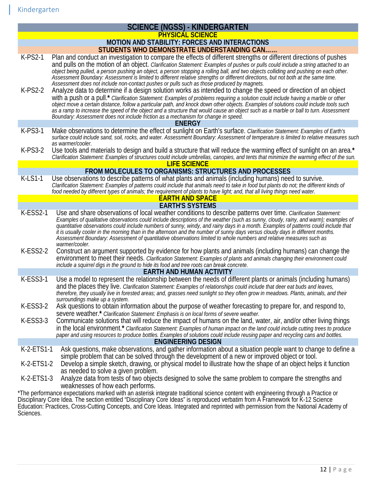|              | <b>SCIENCE (NGSS) - KINDERGARTEN</b>                                                                                                                                                                                                                                                                                                                                                                                                                                                                                                                                                                                                                                      |
|--------------|---------------------------------------------------------------------------------------------------------------------------------------------------------------------------------------------------------------------------------------------------------------------------------------------------------------------------------------------------------------------------------------------------------------------------------------------------------------------------------------------------------------------------------------------------------------------------------------------------------------------------------------------------------------------------|
|              | <b>PHYSICAL SCIENCE</b>                                                                                                                                                                                                                                                                                                                                                                                                                                                                                                                                                                                                                                                   |
|              | <b>MOTION AND STABILITY: FORCES AND INTERACTIONS</b>                                                                                                                                                                                                                                                                                                                                                                                                                                                                                                                                                                                                                      |
|              | STUDENTS WHO DEMONSTRATE UNDERSTANDING CAN                                                                                                                                                                                                                                                                                                                                                                                                                                                                                                                                                                                                                                |
| $K-PS2-1$    | Plan and conduct an investigation to compare the effects of different strengths or different directions of pushes<br>and pulls on the motion of an object. Clarification Statement: Examples of pushes or pulls could include a string attached to an<br>object being pulled, a person pushing an object, a person stopping a rolling ball, and two objects colliding and pushing on each other.<br>Assessment Boundary: Assessment is limited to different relative strengths or different directions, but not both at the same time.<br>Assessment does not include non-contact pushes or pulls such as those produced by magnets.                                      |
| $K-PS2-2$    | Analyze data to determine if a design solution works as intended to change the speed or direction of an object<br>with a push or a pull.* Clarification Statement: Examples of problems requiring a solution could include having a marble or other<br>object move a certain distance, follow a particular path, and knock down other objects. Examples of solutions could include tools such<br>as a ramp to increase the speed of the object and a structure that would cause an object such as a marble or ball to turn. Assessment<br>Boundary: Assessment does not include friction as a mechanism for change in speed.<br><b>ENERGY</b>                             |
| $K-PS3-1$    | Make observations to determine the effect of sunlight on Earth's surface. Clarification Statement: Examples of Earth's                                                                                                                                                                                                                                                                                                                                                                                                                                                                                                                                                    |
|              | surface could include sand, soil, rocks, and water. Assessment Boundary: Assessment of temperature is limited to relative measures such<br>as warmer/cooler.                                                                                                                                                                                                                                                                                                                                                                                                                                                                                                              |
| $K-PS3-2$    | Use tools and materials to design and build a structure that will reduce the warming effect of sunlight on an area.*<br>Clarification Statement: Examples of structures could include umbrellas, canopies, and tents that minimize the warming effect of the sun.<br><b>LIFE SCIENCE</b>                                                                                                                                                                                                                                                                                                                                                                                  |
|              | FROM MOLECULES TO ORGANISMS: STRUCTURES AND PROCESSES                                                                                                                                                                                                                                                                                                                                                                                                                                                                                                                                                                                                                     |
| $K-LS1-1$    | Use observations to describe patterns of what plants and animals (including humans) need to survive.                                                                                                                                                                                                                                                                                                                                                                                                                                                                                                                                                                      |
|              | Clarification Statement: Examples of patterns could include that animals need to take in food but plants do not; the different kinds of<br>food needed by different types of animals; the requirement of plants to have light; and, that all living things need water.                                                                                                                                                                                                                                                                                                                                                                                                    |
|              | <b>EARTH AND SPACE</b>                                                                                                                                                                                                                                                                                                                                                                                                                                                                                                                                                                                                                                                    |
|              | <b>EARTH'S SYSTEMS</b>                                                                                                                                                                                                                                                                                                                                                                                                                                                                                                                                                                                                                                                    |
| K-ESS2-1     | Use and share observations of local weather conditions to describe patterns over time. Clarification Statement:<br>Examples of qualitative observations could include descriptions of the weather (such as sunny, cloudy, rainy, and warm); examples of<br>quantitative observations could include numbers of sunny, windy, and rainy days in a month. Examples of patterns could include that<br>it is usually cooler in the morning than in the afternoon and the number of sunny days versus cloudy days in different months.<br>Assessment Boundary: Assessment of quantitative observations limited to whole numbers and relative measures such as<br>warmer/cooler. |
| K-ESS2-2     | Construct an argument supported by evidence for how plants and animals (including humans) can change the<br>environment to meet their needs. Clarification Statement: Examples of plants and animals changing their environment could<br>include a squirrel digs in the ground to hide its food and tree roots can break concrete.<br><b>EARTH AND HUMAN ACTIVITY</b>                                                                                                                                                                                                                                                                                                     |
| K-ESS3-1     | Use a model to represent the relationship between the needs of different plants or animals (including humans)                                                                                                                                                                                                                                                                                                                                                                                                                                                                                                                                                             |
|              | and the places they live. Clarification Statement: Examples of relationships could include that deer eat buds and leaves,<br>therefore, they usually live in forested areas; and, grasses need sunlight so they often grow in meadows. Plants, animals, and their<br>surroundings make up a system.                                                                                                                                                                                                                                                                                                                                                                       |
| K-ESS3-2     | Ask questions to obtain information about the purpose of weather forecasting to prepare for, and respond to,<br>severe weather.* Clarification Statement: Emphasis is on local forms of severe weather.                                                                                                                                                                                                                                                                                                                                                                                                                                                                   |
| K-ESS3-3     | Communicate solutions that will reduce the impact of humans on the land, water, air, and/or other living things<br>in the local environment.* Clarification Statement: Examples of human impact on the land could include cutting trees to produce<br>paper and using resources to produce bottles. Examples of solutions could include reusing paper and recycling cans and bottles.                                                                                                                                                                                                                                                                                     |
|              | <b>ENGINEERING DESIGN</b>                                                                                                                                                                                                                                                                                                                                                                                                                                                                                                                                                                                                                                                 |
| $K-2-ETS1-1$ | Ask questions, make observations, and gather information about a situation people want to change to define a                                                                                                                                                                                                                                                                                                                                                                                                                                                                                                                                                              |
| K-2-ETS1-2   | simple problem that can be solved through the development of a new or improved object or tool.<br>Develop a simple sketch, drawing, or physical model to illustrate how the shape of an object helps it function                                                                                                                                                                                                                                                                                                                                                                                                                                                          |
| K-2-ETS1-3   | as needed to solve a given problem.<br>Analyze data from tests of two objects designed to solve the same problem to compare the strengths and<br>weaknesses of how each performs.                                                                                                                                                                                                                                                                                                                                                                                                                                                                                         |
|              | *The performance expectations marked with an asterisk integrate traditional science content with engineering through a Practice or                                                                                                                                                                                                                                                                                                                                                                                                                                                                                                                                        |
|              | Disciplinary Core Idea. The section entitled "Disciplinary Core Ideas" is reproduced verbatim from A Framework for K-12 Science                                                                                                                                                                                                                                                                                                                                                                                                                                                                                                                                           |

Education: Practices, Cross-Cutting Concepts, and Core Ideas. Integrated and reprinted with permission from the National Academy of Sciences.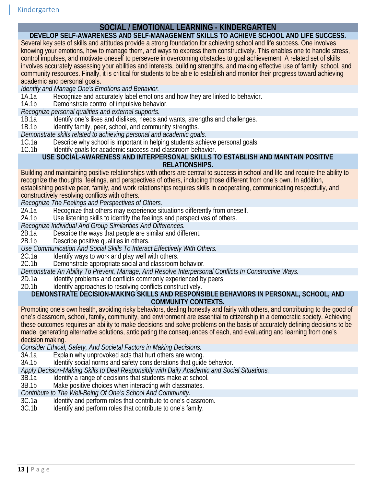#### **SOCIAL / EMOTIONAL LEARNING - KINDERGARTEN**

#### **DEVELOP SELF-AWARENESS AND SELF-MANAGEMENT SKILLS TO ACHIEVE SCHOOL AND LIFE SUCCESS.**

Several key sets of skills and attitudes provide a strong foundation for achieving school and life success. One involves knowing your emotions, how to manage them, and ways to express them constructively. This enables one to handle stress, control impulses, and motivate oneself to persevere in overcoming obstacles to goal achievement. A related set of skills involves accurately assessing your abilities and interests, building strengths, and making effective use of family, school, and community resources. Finally, it is critical for students to be able to establish and monitor their progress toward achieving academic and personal goals.

*Identify and Manage One's Emotions and Behavior.*

Recognize and accurately label emotions and how they are linked to behavior.

1A.1b Demonstrate control of impulsive behavior.

*Recognize personal qualities and external supports.*

1B.1a Identify one's likes and dislikes, needs and wants, strengths and challenges.<br>1B.1b Identify family, peer, school, and community strengths.

Identify family, peer, school, and community strengths.

*Demonstrate skills related to achieving personal and academic goals.*

1C.1a Describe why school is important in helping students achieve personal goals.<br>1C.1b Identify goals for academic success and classroom behavior.

Identify goals for academic success and classroom behavior.

#### **USE SOCIAL-AWARENESS AND INTERPERSONAL SKILLS TO ESTABLISH AND MAINTAIN POSITIVE RELATIONSHIPS.**

Building and maintaining positive relationships with others are central to success in school and life and require the ability to recognize the thoughts, feelings, and perspectives of others, including those different from one's own. In addition, establishing positive peer, family, and work relationships requires skills in cooperating, communicating respectfully, and constructively resolving conflicts with others.

*Recognize The Feelings and Perspectives of Others.*

2A.1a Recognize that others may experience situations differently from oneself.<br>2A.1b Use listening skills to identify the feelings and perspectives of others. Use listening skills to identify the feelings and perspectives of others.

*Recognize Individual And Group Similarities And Differences.*

Describe the ways that people are similar and different.

2B.1b Describe positive qualities in others.

*Use Communication And Social Skills To Interact Effectively With Others.*

2C.1a Identify ways to work and play well with others.<br>2C.1b Demonstrate appropriate social and classroom

Demonstrate appropriate social and classroom behavior.

*Demonstrate An Ability To Prevent, Manage, And Resolve Interpersonal Conflicts In Constructive Ways.*

2D.1a Identify problems and conflicts commonly experienced by peers.<br>2D.1b Identify approaches to resolving conflicts constructively.

Identify approaches to resolving conflicts constructively.

#### **DEMONSTRATE DECISION-MAKING SKILLS AND RESPONSIBLE BEHAVIORS IN PERSONAL, SCHOOL, AND COMMUNITY CONTEXTS.**

Promoting one's own health, avoiding risky behaviors, dealing honestly and fairly with others, and contributing to the good of one's classroom, school, family, community, and environment are essential to citizenship in a democratic society. Achieving these outcomes requires an ability to make decisions and solve problems on the basis of accurately defining decisions to be made, generating alternative solutions, anticipating the consequences of each, and evaluating and learning from one's decision making.

*Consider Ethical, Safety, And Societal Factors in Making Decisions.*

3A.1a Explain why unprovoked acts that hurt others are wrong.<br>3A.1b Identify social norms and safety considerations that quide

Identify social norms and safety considerations that guide behavior.

*Apply Decision-Making Skills to Deal Responsibly with Daily Academic and Social Situations.*

3B.1a Identify a range of decisions that students make at school.<br>3B.1b Make positive choices when interacting with classmates.

Make positive choices when interacting with classmates.

*Contribute to The Well-Being Of One's School And Community.*

3C.1a Identify and perform roles that contribute to one's classroom.<br>3C.1b Identify and perform roles that contribute to one's family.

Identify and perform roles that contribute to one's family.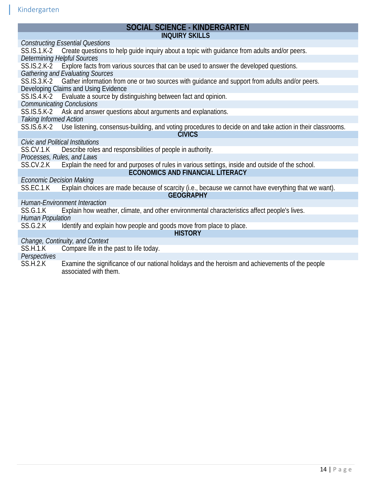| <b>SOCIAL SCIENCE - KINDERGARTEN</b>                                                                                   |  |  |
|------------------------------------------------------------------------------------------------------------------------|--|--|
| <b>INQUIRY SKILLS</b>                                                                                                  |  |  |
| <b>Constructing Essential Questions</b>                                                                                |  |  |
| SS.IS.1.K-2 Create questions to help guide inquiry about a topic with guidance from adults and/or peers.               |  |  |
| <b>Determining Helpful Sources</b>                                                                                     |  |  |
| SS.IS.2.K-2 Explore facts from various sources that can be used to answer the developed questions.                     |  |  |
| <b>Gathering and Evaluating Sources</b>                                                                                |  |  |
| SS.IS.3.K-2 Gather information from one or two sources with guidance and support from adults and/or peers.             |  |  |
| Developing Claims and Using Evidence                                                                                   |  |  |
| SS.IS.4.K-2 Evaluate a source by distinguishing between fact and opinion.                                              |  |  |
| <b>Communicating Conclusions</b>                                                                                       |  |  |
| SS.IS.5.K-2 Ask and answer questions about arguments and explanations.                                                 |  |  |
| <b>Taking Informed Action</b>                                                                                          |  |  |
| SS.IS.6.K-2 Use listening, consensus-building, and voting procedures to decide on and take action in their classrooms. |  |  |
| <b>CIVICS</b>                                                                                                          |  |  |
| Civic and Political Institutions                                                                                       |  |  |
| SS.CV.1.K Describe roles and responsibilities of people in authority.                                                  |  |  |
| Processes, Rules, and Laws                                                                                             |  |  |
| Explain the need for and purposes of rules in various settings, inside and outside of the school.<br>SS.CV.2.K         |  |  |
| <b>ECONOMICS AND FINANCIAL LITERACY</b>                                                                                |  |  |
| <b>Economic Decision Making</b>                                                                                        |  |  |
| Explain choices are made because of scarcity (i.e., because we cannot have everything that we want).<br>SS.EC.1.K      |  |  |
| <b>GEOGRAPHY</b>                                                                                                       |  |  |
| Human-Environment Interaction                                                                                          |  |  |
| Explain how weather, climate, and other environmental characteristics affect people's lives.<br><b>SS.G.1.K</b>        |  |  |
| <b>Human Population</b>                                                                                                |  |  |
| Identify and explain how people and goods move from place to place.<br>SS.G.2.K                                        |  |  |
| <b>HISTORY</b>                                                                                                         |  |  |
| Change, Continuity, and Context                                                                                        |  |  |
| <b>SS.H.1.K</b><br>Compare life in the past to life today.                                                             |  |  |
| Perspectives                                                                                                           |  |  |
| Examine the significance of our national holidays and the heroism and achievements of the people<br><b>SS.H.2.K</b>    |  |  |

Examine the significant<br>associated with them.